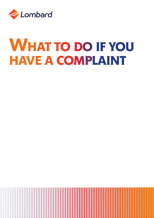

# WHAT TO DO IF YOU **HAVE A COMPLAINT**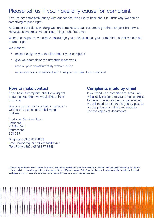# Please tell us if you have any cause for complaint

If you're not completely happy with our service, we'd like to hear about it – that way, we can do something to put it right.

At Lombard we do everything we can to make sure our customers get the best possible service. However, sometimes, we don't get things right first time.

When that happens, we always encourage you to tell us about your complaint, so that we can put matters right.

We want to:

- make it easy for you to tell us about your complaint
- give your complaint the attention it deserves
- resolve your complaint fairly without delay
- make sure you are satisfied with how your complaint was resolved

#### **How to make contact**

If you have a complaint about any aspect of our service then we would like to hear from you.

You can contact us by phone, in person, in writing or by email at the following address:

Customer Services Team Lombard PO Box 520 Rotherham S63 3BR

Telephone 0345 877 8888 Email lombardqueries@lombard.co.uk Text Relay 18001 0345 877 8888

### **Complaints made by email**

If you send us a complaint by email, we will usually respond to your email address. However, there may be occasions when we will need to respond to you by post to ensure privacy or where we need to enclose copies of documents.

Lines are open 9am to 5pm Monday to Friday. Calls will be charged at local rate, calls from landlines are typically charged up to 10p per minute; calls from mobiles typically cost between 10p and 40p per minute. Calls from landlines and mobiles may be included in free call packages. Business rates and calls from other networks may vary, calls may be recorded.

|                                                                                         |                        |   |   | . |  |  |  |  |  |  |                                                                                                               |  |  |  |  |  |  |  |  |  |  |                                        |                          |  |  |  |  |  |  |  |  |  |
|-----------------------------------------------------------------------------------------|------------------------|---|---|---|--|--|--|--|--|--|---------------------------------------------------------------------------------------------------------------|--|--|--|--|--|--|--|--|--|--|----------------------------------------|--------------------------|--|--|--|--|--|--|--|--|--|
|                                                                                         |                        | . |   |   |  |  |  |  |  |  | N SERIKA SERIKAN SERIKAN DI SERIKAN DI SERIKAN DI SERIKAN DI SERIKAN DI SERIKAN DI SERIKAN DI SERIKAN DI SERI |  |  |  |  |  |  |  |  |  |  |                                        |                          |  |  |  |  |  |  |  |  |  |
|                                                                                         |                        |   | . |   |  |  |  |  |  |  |                                                                                                               |  |  |  |  |  |  |  |  |  |  |                                        |                          |  |  |  |  |  |  |  |  |  |
|                                                                                         |                        |   |   |   |  |  |  |  |  |  |                                                                                                               |  |  |  |  |  |  |  |  |  |  |                                        |                          |  |  |  |  |  |  |  |  |  |
|                                                                                         |                        |   |   |   |  |  |  |  |  |  |                                                                                                               |  |  |  |  |  |  |  |  |  |  |                                        |                          |  |  |  |  |  |  |  |  |  |
|                                                                                         |                        | . |   |   |  |  |  |  |  |  |                                                                                                               |  |  |  |  |  |  |  |  |  |  |                                        |                          |  |  |  |  |  |  |  |  |  |
| $\mathcal{A}=\mathcal{A}=\mathcal{A}=\mathcal{A}=\mathcal{A}=\mathcal{A}=\mathcal{A}$ . |                        |   |   |   |  |  |  |  |  |  |                                                                                                               |  |  |  |  |  |  |  |  |  |  | ,,,,,,,,,,,,,,,,,,,,,,,,,,,,           |                          |  |  |  |  |  |  |  |  |  |
|                                                                                         |                        |   |   |   |  |  |  |  |  |  |                                                                                                               |  |  |  |  |  |  |  |  |  |  |                                        |                          |  |  |  |  |  |  |  |  |  |
|                                                                                         |                        |   |   |   |  |  |  |  |  |  |                                                                                                               |  |  |  |  |  |  |  |  |  |  |                                        |                          |  |  |  |  |  |  |  |  |  |
| .                                                                                       |                        |   |   |   |  |  |  |  |  |  |                                                                                                               |  |  |  |  |  |  |  |  |  |  |                                        |                          |  |  |  |  |  |  |  |  |  |
|                                                                                         |                        |   | . |   |  |  |  |  |  |  |                                                                                                               |  |  |  |  |  |  |  |  |  |  | ,,,,,,,,,,,,,,,,,,,,,,, <b>,,,,,,,</b> |                          |  |  |  |  |  |  |  |  |  |
|                                                                                         |                        |   |   |   |  |  |  |  |  |  |                                                                                                               |  |  |  |  |  |  |  |  |  |  |                                        |                          |  |  |  |  |  |  |  |  |  |
|                                                                                         |                        |   |   |   |  |  |  |  |  |  |                                                                                                               |  |  |  |  |  |  |  |  |  |  |                                        |                          |  |  |  |  |  |  |  |  |  |
| .                                                                                       |                        |   |   |   |  |  |  |  |  |  |                                                                                                               |  |  |  |  |  |  |  |  |  |  |                                        |                          |  |  |  |  |  |  |  |  |  |
|                                                                                         |                        |   |   | . |  |  |  |  |  |  |                                                                                                               |  |  |  |  |  |  |  |  |  |  | 11111111111111111111111                |                          |  |  |  |  |  |  |  |  |  |
|                                                                                         |                        |   |   |   |  |  |  |  |  |  |                                                                                                               |  |  |  |  |  |  |  |  |  |  |                                        |                          |  |  |  |  |  |  |  |  |  |
|                                                                                         | $\cdots \cdots \cdots$ |   |   |   |  |  |  |  |  |  |                                                                                                               |  |  |  |  |  |  |  |  |  |  |                                        |                          |  |  |  |  |  |  |  |  |  |
| .                                                                                       |                        |   |   |   |  |  |  |  |  |  |                                                                                                               |  |  |  |  |  |  |  |  |  |  |                                        |                          |  |  |  |  |  |  |  |  |  |
|                                                                                         |                        |   |   | . |  |  |  |  |  |  |                                                                                                               |  |  |  |  |  |  |  |  |  |  |                                        |                          |  |  |  |  |  |  |  |  |  |
|                                                                                         |                        |   |   |   |  |  |  |  |  |  |                                                                                                               |  |  |  |  |  |  |  |  |  |  | <u> 1111111111111111111111111111</u>   |                          |  |  |  |  |  |  |  |  |  |
|                                                                                         |                        |   |   |   |  |  |  |  |  |  |                                                                                                               |  |  |  |  |  |  |  |  |  |  |                                        |                          |  |  |  |  |  |  |  |  |  |
|                                                                                         |                        |   |   |   |  |  |  |  |  |  |                                                                                                               |  |  |  |  |  |  |  |  |  |  |                                        |                          |  |  |  |  |  |  |  |  |  |
|                                                                                         |                        |   |   | . |  |  |  |  |  |  |                                                                                                               |  |  |  |  |  |  |  |  |  |  |                                        | ,,,,,,,,,,,,,,,,,,,,,,,, |  |  |  |  |  |  |  |  |  |
| <b><i>Charles Alberta Commission</i></b>                                                |                        |   |   |   |  |  |  |  |  |  |                                                                                                               |  |  |  |  |  |  |  |  |  |  | 1111111111111111111111111111           |                          |  |  |  |  |  |  |  |  |  |
|                                                                                         |                        |   |   |   |  |  |  |  |  |  |                                                                                                               |  |  |  |  |  |  |  |  |  |  |                                        |                          |  |  |  |  |  |  |  |  |  |
|                                                                                         |                        |   |   |   |  |  |  |  |  |  |                                                                                                               |  |  |  |  |  |  |  |  |  |  |                                        |                          |  |  |  |  |  |  |  |  |  |
|                                                                                         |                        |   | . |   |  |  |  |  |  |  |                                                                                                               |  |  |  |  |  |  |  |  |  |  |                                        |                          |  |  |  |  |  |  |  |  |  |
|                                                                                         |                        |   |   |   |  |  |  |  |  |  |                                                                                                               |  |  |  |  |  |  |  |  |  |  |                                        |                          |  |  |  |  |  |  |  |  |  |
|                                                                                         | .                      |   |   |   |  |  |  |  |  |  |                                                                                                               |  |  |  |  |  |  |  |  |  |  |                                        |                          |  |  |  |  |  |  |  |  |  |
|                                                                                         |                        |   |   |   |  |  |  |  |  |  |                                                                                                               |  |  |  |  |  |  |  |  |  |  |                                        |                          |  |  |  |  |  |  |  |  |  |